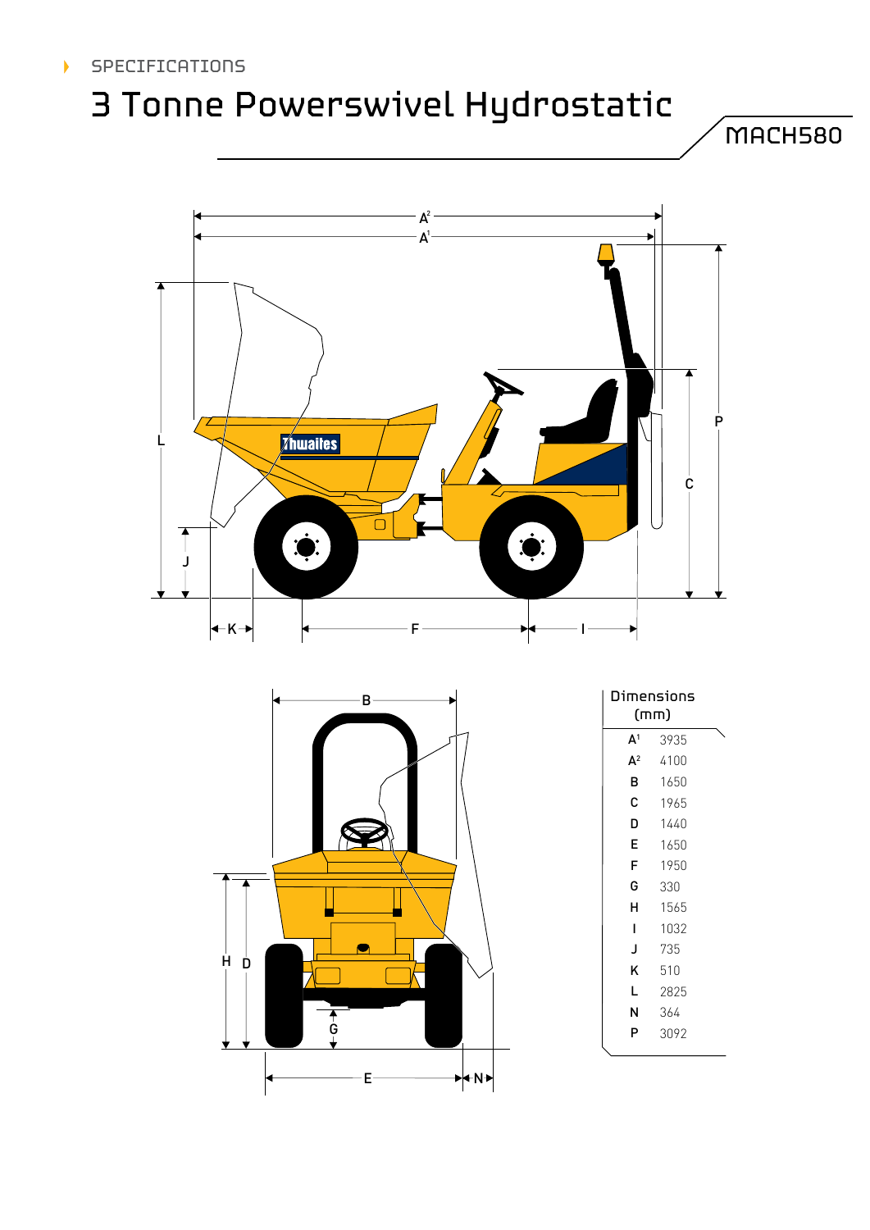D H

 $E -$ 

 $\blacktriangleright$   $\blacktriangleleft$  N $\blacktriangleright$ 

 $\frac{4}{6}$ 

# 3 Tonne Powerswivel Hydrostatic

MACH580



| в | 1650 |
|---|------|
| с | 1965 |
| D | 1440 |
| E | 1650 |
| F | 1950 |
| G | 330  |
| н | 1565 |
| ı | 1032 |
| J | 735  |
| K | 510  |
| L | 2825 |
| N | 364  |
| P | 3092 |
|   |      |